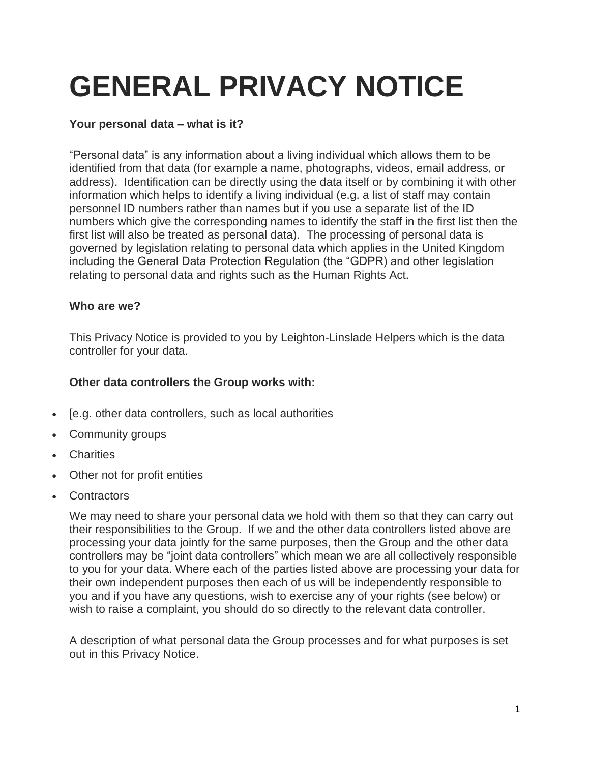# **GENERAL PRIVACY NOTICE**

# **Your personal data – what is it?**

"Personal data" is any information about a living individual which allows them to be identified from that data (for example a name, photographs, videos, email address, or address). Identification can be directly using the data itself or by combining it with other information which helps to identify a living individual (e.g. a list of staff may contain personnel ID numbers rather than names but if you use a separate list of the ID numbers which give the corresponding names to identify the staff in the first list then the first list will also be treated as personal data). The processing of personal data is governed by legislation relating to personal data which applies in the United Kingdom including the General Data Protection Regulation (the "GDPR) and other legislation relating to personal data and rights such as the Human Rights Act.

# **Who are we?**

This Privacy Notice is provided to you by Leighton-Linslade Helpers which is the data controller for your data.

# **Other data controllers the Group works with:**

- [e.g. other data controllers, such as local authorities
- Community groups
- Charities
- Other not for profit entities
- Contractors

We may need to share your personal data we hold with them so that they can carry out their responsibilities to the Group. If we and the other data controllers listed above are processing your data jointly for the same purposes, then the Group and the other data controllers may be "joint data controllers" which mean we are all collectively responsible to you for your data. Where each of the parties listed above are processing your data for their own independent purposes then each of us will be independently responsible to you and if you have any questions, wish to exercise any of your rights (see below) or wish to raise a complaint, you should do so directly to the relevant data controller.

A description of what personal data the Group processes and for what purposes is set out in this Privacy Notice.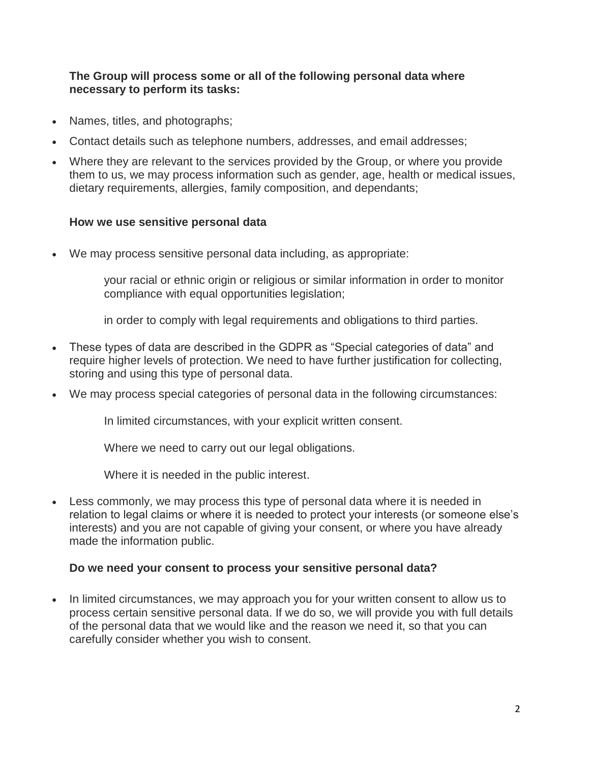#### **The Group will process some or all of the following personal data where necessary to perform its tasks:**

- Names, titles, and photographs;
- Contact details such as telephone numbers, addresses, and email addresses;
- Where they are relevant to the services provided by the Group, or where you provide them to us, we may process information such as gender, age, health or medical issues, dietary requirements, allergies, family composition, and dependants;

# **How we use sensitive personal data**

We may process sensitive personal data including, as appropriate:

your racial or ethnic origin or religious or similar information in order to monitor compliance with equal opportunities legislation;

in order to comply with legal requirements and obligations to third parties.

- These types of data are described in the GDPR as "Special categories of data" and require higher levels of protection. We need to have further justification for collecting, storing and using this type of personal data.
- We may process special categories of personal data in the following circumstances:

In limited circumstances, with your explicit written consent.

Where we need to carry out our legal obligations.

Where it is needed in the public interest.

 Less commonly, we may process this type of personal data where it is needed in relation to legal claims or where it is needed to protect your interests (or someone else's interests) and you are not capable of giving your consent, or where you have already made the information public.

# **Do we need your consent to process your sensitive personal data?**

 In limited circumstances, we may approach you for your written consent to allow us to process certain sensitive personal data. If we do so, we will provide you with full details of the personal data that we would like and the reason we need it, so that you can carefully consider whether you wish to consent.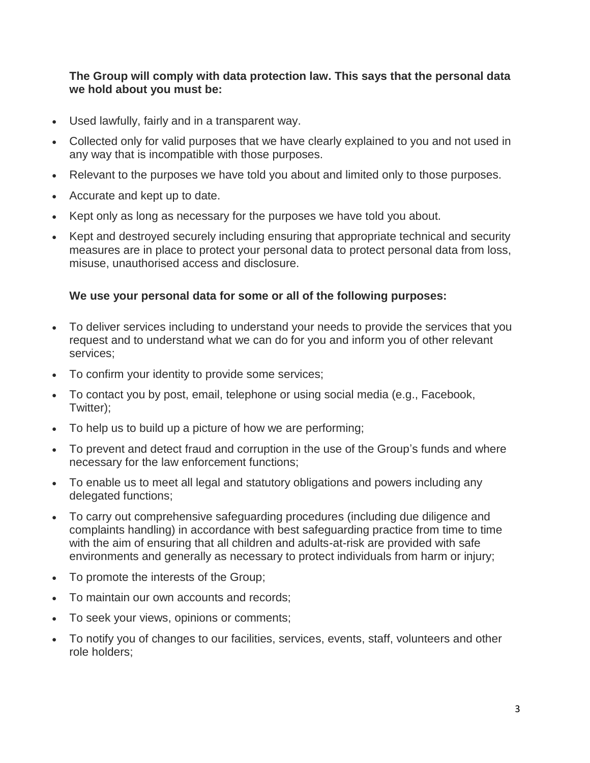#### **The Group will comply with data protection law. This says that the personal data we hold about you must be:**

- Used lawfully, fairly and in a transparent way.
- Collected only for valid purposes that we have clearly explained to you and not used in any way that is incompatible with those purposes.
- Relevant to the purposes we have told you about and limited only to those purposes.
- Accurate and kept up to date.
- Kept only as long as necessary for the purposes we have told you about.
- Kept and destroyed securely including ensuring that appropriate technical and security measures are in place to protect your personal data to protect personal data from loss, misuse, unauthorised access and disclosure.

# **We use your personal data for some or all of the following purposes:**

- To deliver services including to understand your needs to provide the services that you request and to understand what we can do for you and inform you of other relevant services;
- To confirm your identity to provide some services;
- To contact you by post, email, telephone or using social media (e.g., Facebook, Twitter);
- To help us to build up a picture of how we are performing;
- To prevent and detect fraud and corruption in the use of the Group's funds and where necessary for the law enforcement functions;
- To enable us to meet all legal and statutory obligations and powers including any delegated functions;
- To carry out comprehensive safeguarding procedures (including due diligence and complaints handling) in accordance with best safeguarding practice from time to time with the aim of ensuring that all children and adults-at-risk are provided with safe environments and generally as necessary to protect individuals from harm or injury;
- To promote the interests of the Group;
- To maintain our own accounts and records;
- To seek your views, opinions or comments;
- To notify you of changes to our facilities, services, events, staff, volunteers and other role holders;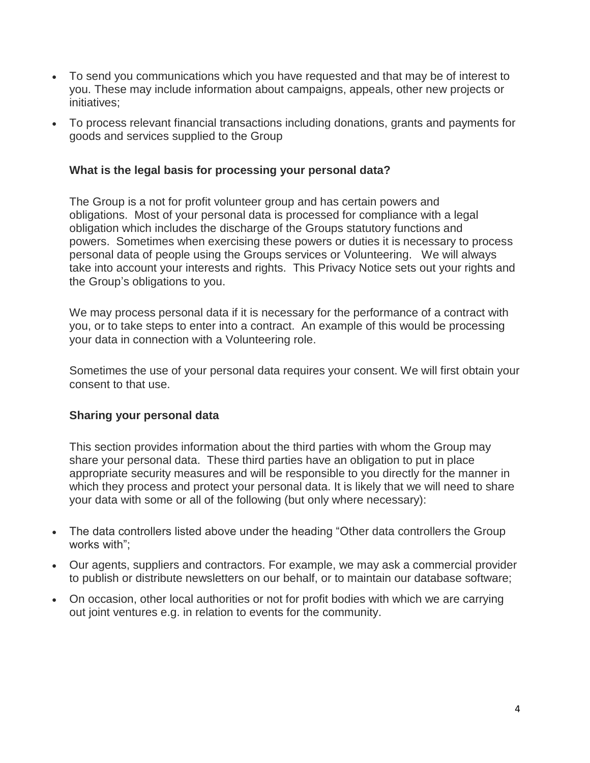- To send you communications which you have requested and that may be of interest to you. These may include information about campaigns, appeals, other new projects or initiatives;
- To process relevant financial transactions including donations, grants and payments for goods and services supplied to the Group

#### **What is the legal basis for processing your personal data?**

The Group is a not for profit volunteer group and has certain powers and obligations. Most of your personal data is processed for compliance with a legal obligation which includes the discharge of the Groups statutory functions and powers. Sometimes when exercising these powers or duties it is necessary to process personal data of people using the Groups services or Volunteering. We will always take into account your interests and rights. This Privacy Notice sets out your rights and the Group's obligations to you.

We may process personal data if it is necessary for the performance of a contract with you, or to take steps to enter into a contract. An example of this would be processing your data in connection with a Volunteering role.

Sometimes the use of your personal data requires your consent. We will first obtain your consent to that use.

#### **Sharing your personal data**

This section provides information about the third parties with whom the Group may share your personal data. These third parties have an obligation to put in place appropriate security measures and will be responsible to you directly for the manner in which they process and protect your personal data. It is likely that we will need to share your data with some or all of the following (but only where necessary):

- The data controllers listed above under the heading "Other data controllers the Group works with";
- Our agents, suppliers and contractors. For example, we may ask a commercial provider to publish or distribute newsletters on our behalf, or to maintain our database software;
- On occasion, other local authorities or not for profit bodies with which we are carrying out joint ventures e.g. in relation to events for the community.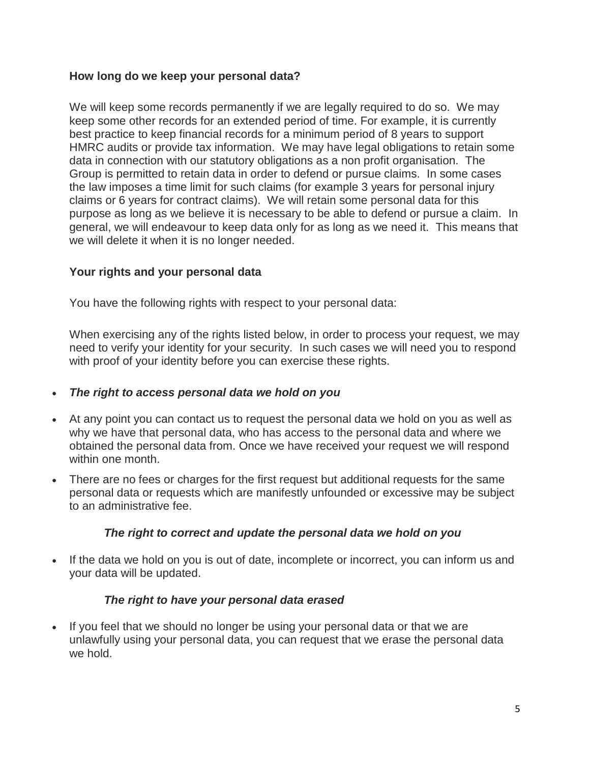# **How long do we keep your personal data?**

We will keep some records permanently if we are legally required to do so. We may keep some other records for an extended period of time. For example, it is currently best practice to keep financial records for a minimum period of 8 years to support HMRC audits or provide tax information. We may have legal obligations to retain some data in connection with our statutory obligations as a non profit organisation. The Group is permitted to retain data in order to defend or pursue claims. In some cases the law imposes a time limit for such claims (for example 3 years for personal injury claims or 6 years for contract claims). We will retain some personal data for this purpose as long as we believe it is necessary to be able to defend or pursue a claim. In general, we will endeavour to keep data only for as long as we need it. This means that we will delete it when it is no longer needed.

# **Your rights and your personal data**

You have the following rights with respect to your personal data:

When exercising any of the rights listed below, in order to process your request, we may need to verify your identity for your security. In such cases we will need you to respond with proof of your identity before you can exercise these rights.

#### *The right to access personal data we hold on you*

- At any point you can contact us to request the personal data we hold on you as well as why we have that personal data, who has access to the personal data and where we obtained the personal data from. Once we have received your request we will respond within one month.
- There are no fees or charges for the first request but additional requests for the same personal data or requests which are manifestly unfounded or excessive may be subject to an administrative fee.

#### *The right to correct and update the personal data we hold on you*

• If the data we hold on you is out of date, incomplete or incorrect, you can inform us and your data will be updated.

# *The right to have your personal data erased*

• If you feel that we should no longer be using your personal data or that we are unlawfully using your personal data, you can request that we erase the personal data we hold.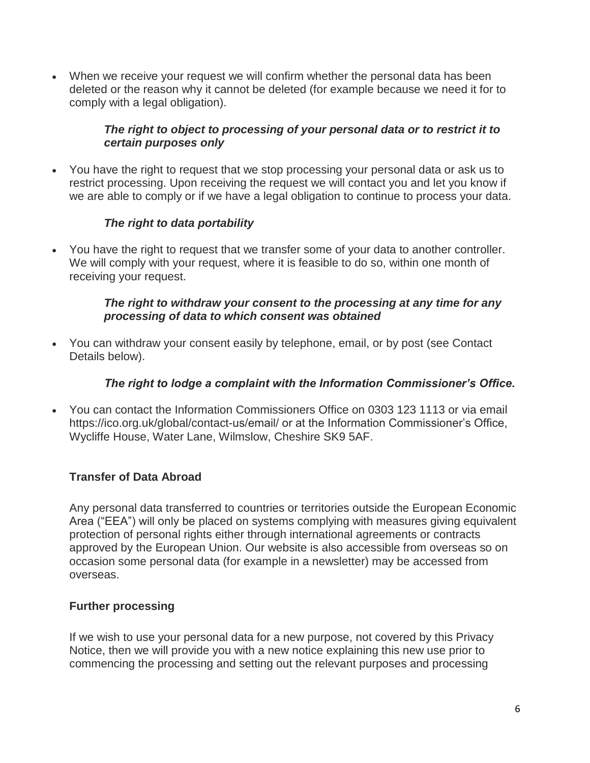When we receive your request we will confirm whether the personal data has been deleted or the reason why it cannot be deleted (for example because we need it for to comply with a legal obligation).

# *The right to object to processing of your personal data or to restrict it to certain purposes only*

 You have the right to request that we stop processing your personal data or ask us to restrict processing. Upon receiving the request we will contact you and let you know if we are able to comply or if we have a legal obligation to continue to process your data.

# *The right to data portability*

 You have the right to request that we transfer some of your data to another controller. We will comply with your request, where it is feasible to do so, within one month of receiving your request.

#### *The right to withdraw your consent to the processing at any time for any processing of data to which consent was obtained*

 You can withdraw your consent easily by telephone, email, or by post (see Contact Details below).

# *The right to lodge a complaint with the Information Commissioner's Office.*

 You can contact the Information Commissioners Office on 0303 123 1113 or via email https://ico.org.uk/global/contact-us/email/ or at the Information Commissioner's Office, Wycliffe House, Water Lane, Wilmslow, Cheshire SK9 5AF.

# **Transfer of Data Abroad**

Any personal data transferred to countries or territories outside the European Economic Area ("EEA") will only be placed on systems complying with measures giving equivalent protection of personal rights either through international agreements or contracts approved by the European Union. Our website is also accessible from overseas so on occasion some personal data (for example in a newsletter) may be accessed from overseas.

# **Further processing**

If we wish to use your personal data for a new purpose, not covered by this Privacy Notice, then we will provide you with a new notice explaining this new use prior to commencing the processing and setting out the relevant purposes and processing